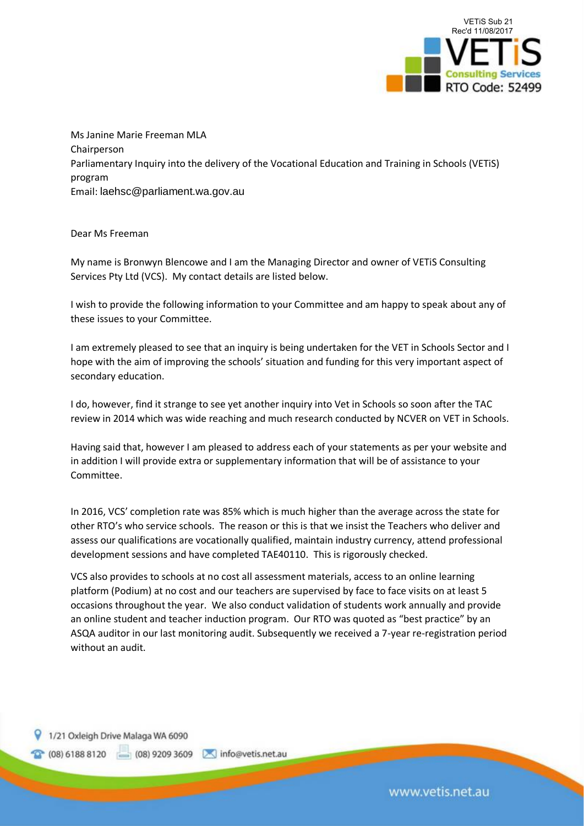

Ms Janine Marie Freeman MLA Chairperson Parliamentary Inquiry into the delivery of the Vocational Education and Training in Schools (VETiS) program Email: laehsc@parliament.wa.gov.au

Dear Ms Freeman

My name is Bronwyn Blencowe and I am the Managing Director and owner of VETiS Consulting Services Pty Ltd (VCS). My contact details are listed below.

I wish to provide the following information to your Committee and am happy to speak about any of these issues to your Committee.

I am extremely pleased to see that an inquiry is being undertaken for the VET in Schools Sector and I hope with the aim of improving the schools' situation and funding for this very important aspect of secondary education.

I do, however, find it strange to see yet another inquiry into Vet in Schools so soon after the TAC review in 2014 which was wide reaching and much research conducted by NCVER on VET in Schools.

Having said that, however I am pleased to address each of your statements as per your website and in addition I will provide extra or supplementary information that will be of assistance to your Committee.

In 2016, VCS' completion rate was 85% which is much higher than the average across the state for other RTO's who service schools. The reason or this is that we insist the Teachers who deliver and assess our qualifications are vocationally qualified, maintain industry currency, attend professional development sessions and have completed TAE40110. This is rigorously checked.

VCS also provides to schools at no cost all assessment materials, access to an online learning platform (Podium) at no cost and our teachers are supervised by face to face visits on at least 5 occasions throughout the year. We also conduct validation of students work annually and provide an online student and teacher induction program. Our RTO was quoted as "best practice" by an ASQA auditor in our last monitoring audit. Subsequently we received a 7-year re-registration period without an audit.

1/21 Oxleigh Drive Malaga WA 6090

(08) 6188 8120

(08) 9209 3609 \ info@vetis.net.au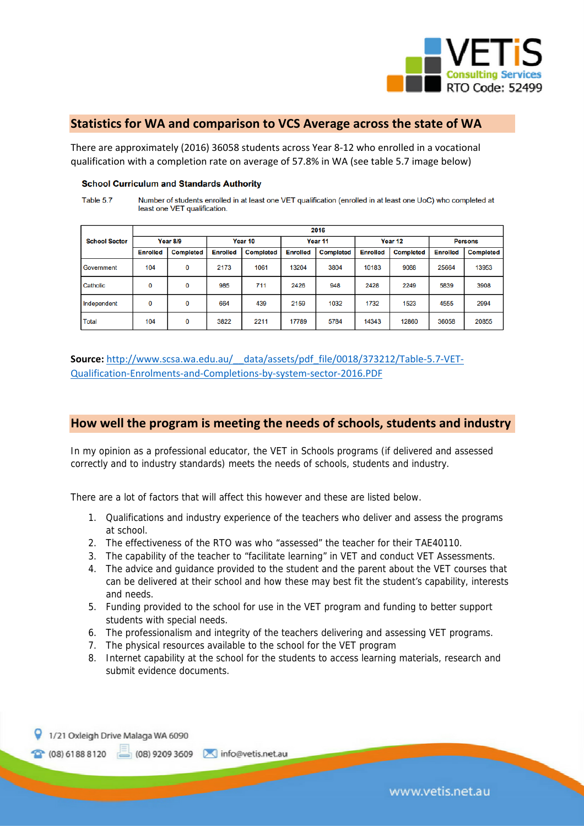

# **Statistics for WA and comparison to VCS Average across the state of WA**

There are approximately (2016) 36058 students across Year 8‐12 who enrolled in a vocational qualification with a completion rate on average of 57.8% in WA (see table 5.7 image below)

#### **School Curriculum and Standards Authority**

Table 5.7 Number of students enrolled in at least one VET qualification (enrolled in at least one UoC) who completed at least one VET qualification.

| <b>School Sector</b> | 2016            |                  |                 |                  |                 |                  |                 |                  |                 |                  |
|----------------------|-----------------|------------------|-----------------|------------------|-----------------|------------------|-----------------|------------------|-----------------|------------------|
|                      | Year 8/9        |                  | Year 10         |                  | Year 11         |                  | Year 12         |                  | <b>Persons</b>  |                  |
|                      | <b>Enrolled</b> | <b>Completed</b> | <b>Enrolled</b> | <b>Completed</b> | <b>Enrolled</b> | <b>Completed</b> | <b>Enrolled</b> | <b>Completed</b> | <b>Enrolled</b> | <b>Completed</b> |
| Government           | 104             | 0                | 2173            | 1061             | 13204           | 3804             | 10183           | 9088             | 25664           | 13953            |
| Catholic             | 0               | 0                | 985             | 711              | 2426            | 948              | 2428            | 2249             | 5839            | 3908             |
| Independent          | 0               |                  | 664             | 439              | 2159            | 1032             | 1732            | 1523             | 4555            | 2994             |
| <b>Total</b>         | 104             | 0                | 3822            | 2211             | 17789           | 5784             | 14343           | 12860            | 36058           | 20855            |

Source: http://www.scsa.wa.edu.au/ data/assets/pdf file/0018/373212/Table-5.7-VET-Qualification‐Enrolments‐and‐Completions‐by‐system‐sector‐2016.PDF

# **How well the program is meeting the needs of schools, students and industry**

In my opinion as a professional educator, the VET in Schools programs (if delivered and assessed correctly and to industry standards) meets the needs of schools, students and industry.

There are a lot of factors that will affect this however and these are listed below.

- 1. Qualifications and industry experience of the teachers who deliver and assess the programs at school.
- 2. The effectiveness of the RTO was who "assessed" the teacher for their TAE40110.
- 3. The capability of the teacher to "facilitate learning" in VET and conduct VET Assessments.
- 4. The advice and guidance provided to the student and the parent about the VET courses that can be delivered at their school and how these may best fit the student's capability, interests and needs.
- 5. Funding provided to the school for use in the VET program and funding to better support students with special needs.
- 6. The professionalism and integrity of the teachers delivering and assessing VET programs.
- 7. The physical resources available to the school for the VET program
- 8. Internet capability at the school for the students to access learning materials, research and submit evidence documents.



 $2 (08) 61888120$ 

(08) 9209 3609 \ info@vetis.net.au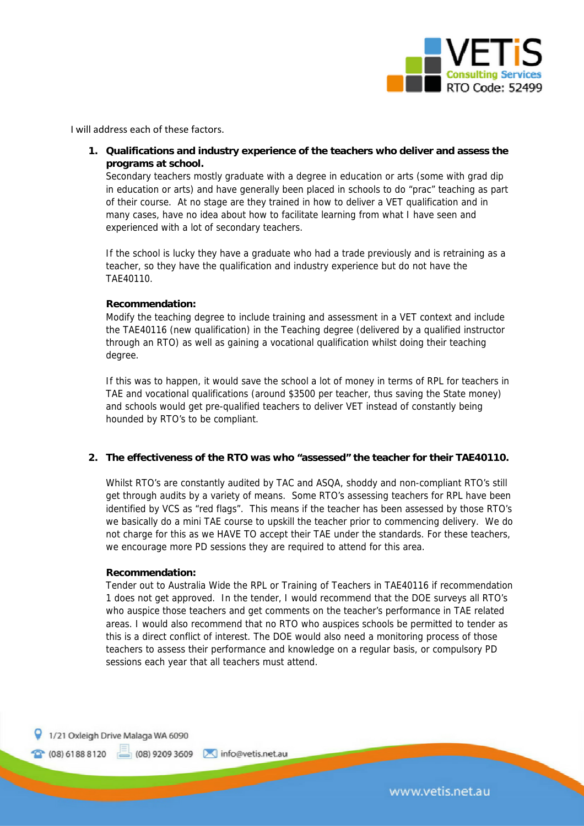

I will address each of these factors.

**1. Qualifications and industry experience of the teachers who deliver and assess the programs at school.** 

Secondary teachers mostly graduate with a degree in education or arts (some with grad dip in education or arts) and have generally been placed in schools to do "prac" teaching as part of their course. At no stage are they trained in how to deliver a VET qualification and in many cases, have no idea about how to facilitate learning from what I have seen and experienced with a lot of secondary teachers.

If the school is lucky they have a graduate who had a trade previously and is retraining as a teacher, so they have the qualification and industry experience but do not have the TAE40110.

### **Recommendation:**

Modify the teaching degree to include training and assessment in a VET context and include the TAE40116 (new qualification) in the Teaching degree (delivered by a qualified instructor through an RTO) as well as gaining a vocational qualification whilst doing their teaching degree.

If this was to happen, it would save the school a lot of money in terms of RPL for teachers in TAE and vocational qualifications (around \$3500 per teacher, thus saving the State money) and schools would get pre-qualified teachers to deliver VET instead of constantly being hounded by RTO's to be compliant.

### **2. The effectiveness of the RTO was who "assessed" the teacher for their TAE40110.**

Whilst RTO's are constantly audited by TAC and ASQA, shoddy and non-compliant RTO's still get through audits by a variety of means. Some RTO's assessing teachers for RPL have been identified by VCS as "red flags". This means if the teacher has been assessed by those RTO's we basically do a mini TAE course to upskill the teacher prior to commencing delivery. We do not charge for this as we HAVE TO accept their TAE under the standards. For these teachers, we encourage more PD sessions they are required to attend for this area.

#### **Recommendation:**

Tender out to Australia Wide the RPL or Training of Teachers in TAE40116 if recommendation 1 does not get approved. In the tender, I would recommend that the DOE surveys all RTO's who auspice those teachers and get comments on the teacher's performance in TAE related areas. I would also recommend that no RTO who auspices schools be permitted to tender as this is a direct conflict of interest. The DOE would also need a monitoring process of those teachers to assess their performance and knowledge on a regular basis, or compulsory PD sessions each year that all teachers must attend.

1/21 Oxleigh Drive Malaga WA 6090

 $2 (08) 61888120$ 

(08) 9209 3609 \ info@vetis.net.au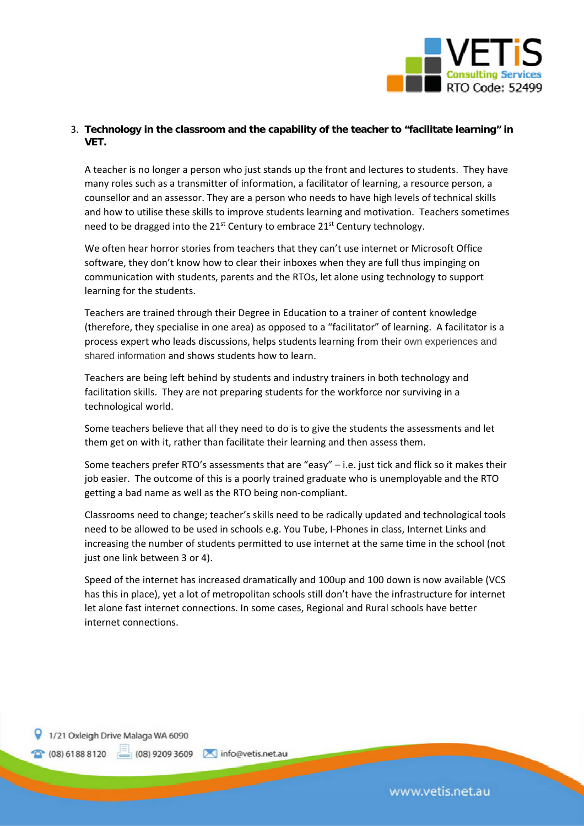

# 3. **Technology in the classroom and the capability of the teacher to "facilitate learning" in VET.**

A teacher is no longer a person who just stands up the front and lectures to students. They have many roles such as a transmitter of information, a facilitator of learning, a resource person, a counsellor and an assessor. They are a person who needs to have high levels of technical skills and how to utilise these skills to improve students learning and motivation. Teachers sometimes need to be dragged into the  $21^{st}$  Century to embrace  $21^{st}$  Century technology.

We often hear horror stories from teachers that they can't use internet or Microsoft Office software, they don't know how to clear their inboxes when they are full thus impinging on communication with students, parents and the RTOs, let alone using technology to support learning for the students.

Teachers are trained through their Degree in Education to a trainer of content knowledge (therefore, they specialise in one area) as opposed to a "facilitator" of learning. A facilitator is a process expert who leads discussions, helps students learning from their own experiences and shared information and shows students how to learn.

Teachers are being left behind by students and industry trainers in both technology and facilitation skills. They are not preparing students for the workforce nor surviving in a technological world.

Some teachers believe that all they need to do is to give the students the assessments and let them get on with it, rather than facilitate their learning and then assess them.

Some teachers prefer RTO's assessments that are "easy" – i.e. just tick and flick so it makes their job easier. The outcome of this is a poorly trained graduate who is unemployable and the RTO getting a bad name as well as the RTO being non‐compliant.

Classrooms need to change; teacher's skills need to be radically updated and technological tools need to be allowed to be used in schools e.g. You Tube, I‐Phones in class, Internet Links and increasing the number of students permitted to use internet at the same time in the school (not just one link between 3 or 4).

Speed of the internet has increased dramatically and 100up and 100 down is now available (VCS has this in place), yet a lot of metropolitan schools still don't have the infrastructure for internet let alone fast internet connections. In some cases, Regional and Rural schools have better internet connections.

1/21 Oxleigh Drive Malaga WA 6090

2 (08) 6188 8120 (08) 9209 3609 M info@vetis.net.au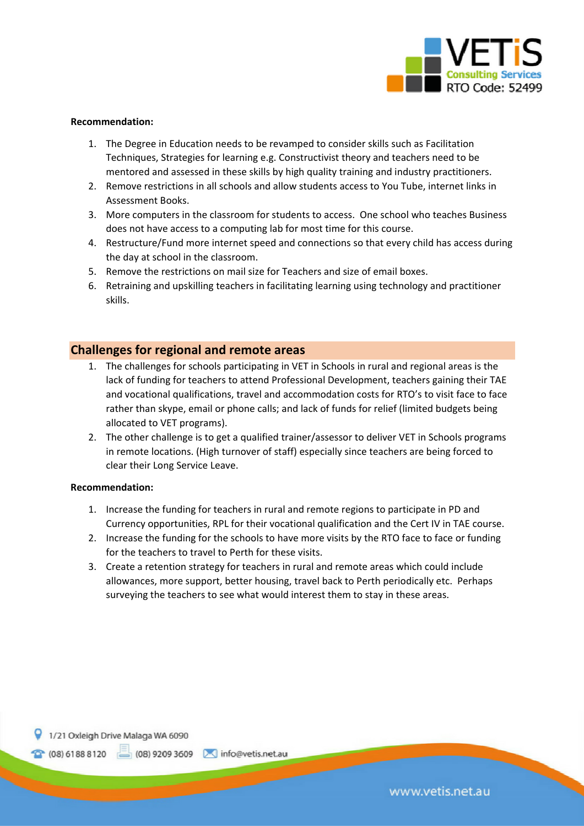

#### **Recommendation:**

- 1. The Degree in Education needs to be revamped to consider skills such as Facilitation Techniques, Strategies for learning e.g. Constructivist theory and teachers need to be mentored and assessed in these skills by high quality training and industry practitioners.
- 2. Remove restrictions in all schools and allow students access to You Tube, internet links in Assessment Books.
- 3. More computers in the classroom for students to access. One school who teaches Business does not have access to a computing lab for most time for this course.
- 4. Restructure/Fund more internet speed and connections so that every child has access during the day at school in the classroom.
- 5. Remove the restrictions on mail size for Teachers and size of email boxes.
- 6. Retraining and upskilling teachers in facilitating learning using technology and practitioner skills.

# **Challenges for regional and remote areas**

- 1. The challenges for schools participating in VET in Schools in rural and regional areas is the lack of funding for teachers to attend Professional Development, teachers gaining their TAE and vocational qualifications, travel and accommodation costs for RTO's to visit face to face rather than skype, email or phone calls; and lack of funds for relief (limited budgets being allocated to VET programs).
- 2. The other challenge is to get a qualified trainer/assessor to deliver VET in Schools programs in remote locations. (High turnover of staff) especially since teachers are being forced to clear their Long Service Leave.

#### **Recommendation:**

- 1. Increase the funding for teachers in rural and remote regions to participate in PD and Currency opportunities, RPL for their vocational qualification and the Cert IV in TAE course.
- 2. Increase the funding for the schools to have more visits by the RTO face to face or funding for the teachers to travel to Perth for these visits.
- 3. Create a retention strategy for teachers in rural and remote areas which could include allowances, more support, better housing, travel back to Perth periodically etc. Perhaps surveying the teachers to see what would interest them to stay in these areas.

2 (08) 6188 8120 (08) 9209 3609 \ info@vetis.net.au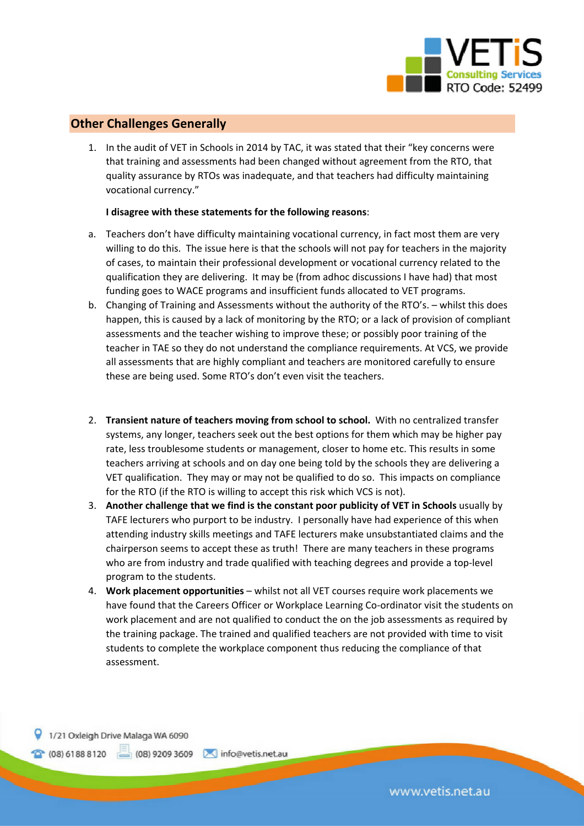

# **Other Challenges Generally**

1. In the audit of VET in Schools in 2014 by TAC, it was stated that their "key concerns were that training and assessments had been changed without agreement from the RTO, that quality assurance by RTOs was inadequate, and that teachers had difficulty maintaining vocational currency."

### **I disagree with these statements for the following reasons**:

- a. Teachers don't have difficulty maintaining vocational currency, in fact most them are very willing to do this. The issue here is that the schools will not pay for teachers in the majority of cases, to maintain their professional development or vocational currency related to the qualification they are delivering. It may be (from adhoc discussions I have had) that most funding goes to WACE programs and insufficient funds allocated to VET programs.
- b. Changing of Training and Assessments without the authority of the RTO's. whilst this does happen, this is caused by a lack of monitoring by the RTO; or a lack of provision of compliant assessments and the teacher wishing to improve these; or possibly poor training of the teacher in TAE so they do not understand the compliance requirements. At VCS, we provide all assessments that are highly compliant and teachers are monitored carefully to ensure these are being used. Some RTO's don't even visit the teachers.
- 2. **Transient nature of teachers moving from school to school.** With no centralized transfer systems, any longer, teachers seek out the best options for them which may be higher pay rate, less troublesome students or management, closer to home etc. This results in some teachers arriving at schools and on day one being told by the schools they are delivering a VET qualification. They may or may not be qualified to do so. This impacts on compliance for the RTO (if the RTO is willing to accept this risk which VCS is not).
- 3. **Another challenge that we find is the constant poor publicity of VET in Schools** usually by TAFE lecturers who purport to be industry. I personally have had experience of this when attending industry skills meetings and TAFE lecturers make unsubstantiated claims and the chairperson seems to accept these as truth! There are many teachers in these programs who are from industry and trade qualified with teaching degrees and provide a top-level program to the students.
- 4. **Work placement opportunities** whilst not all VET courses require work placements we have found that the Careers Officer or Workplace Learning Co-ordinator visit the students on work placement and are not qualified to conduct the on the job assessments as required by the training package. The trained and qualified teachers are not provided with time to visit students to complete the workplace component thus reducing the compliance of that assessment.

1/21 Oxleigh Drive Malaga WA 6090

2 (08) 6188 8120 (08) 9209 3609 \ info@vetis.net.au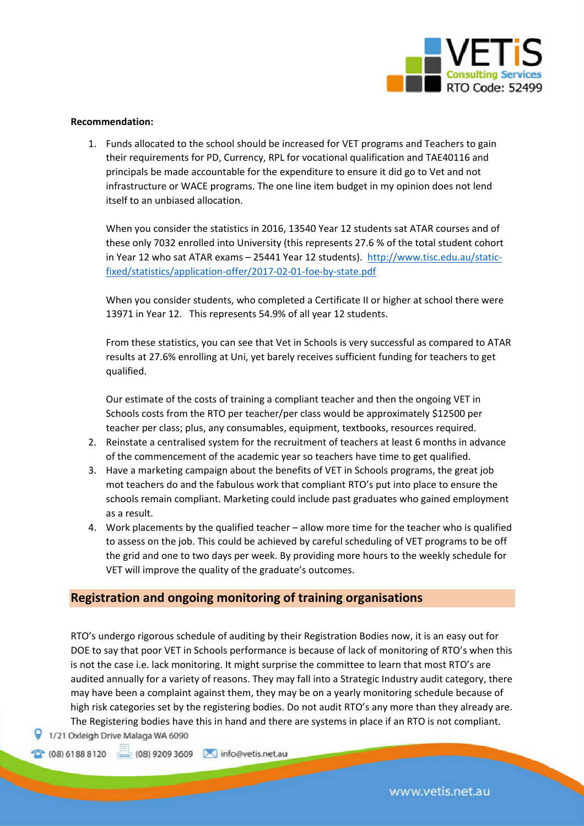

#### **Recommendation:**

1. Funds allocated to the school should be increased for VET programs and Teachers to gain their requirements for PD, Currency, RPL for vocational qualification and TAE40116 and principals be made accountable for the expenditure to ensure it did go to Vet and not infrastructure or WACE programs. The one line item budget in my opinion does not lend itself to an unbiased allocation.

When you consider the statistics in 2016, 13540 Year 12 students sat ATAR courses and of these only 7032 enrolled into University (this represents 27.6 % of the total student cohort in Year 12 who sat ATAR exams – 25441 Year 12 students). http://www.tisc.edu.au/staticfixed/statistics/application‐offer/2017‐02‐01‐foe‐by‐state.pdf

When you consider students, who completed a Certificate II or higher at school there were 13971 in Year 12. This represents 54.9% of all year 12 students.

From these statistics, you can see that Vet in Schools is very successful as compared to ATAR results at 27.6% enrolling at Uni, yet barely receives sufficient funding for teachers to get qualified.

Our estimate of the costs of training a compliant teacher and then the ongoing VET in Schools costs from the RTO per teacher/per class would be approximately \$12500 per teacher per class; plus, any consumables, equipment, textbooks, resources required.

- 2. Reinstate a centralised system for the recruitment of teachers at least 6 months in advance of the commencement of the academic year so teachers have time to get qualified.
- 3. Have a marketing campaign about the benefits of VET in Schools programs, the great job mot teachers do and the fabulous work that compliant RTO's put into place to ensure the schools remain compliant. Marketing could include past graduates who gained employment as a result.
- 4. Work placements by the qualified teacher allow more time for the teacher who is qualified to assess on the job. This could be achieved by careful scheduling of VET programs to be off the grid and one to two days per week. By providing more hours to the weekly schedule for VET will improve the quality of the graduate's outcomes.

# **Registration and ongoing monitoring of training organisations**

RTO's undergo rigorous schedule of auditing by their Registration Bodies now, it is an easy out for DOE to say that poor VET in Schools performance is because of lack of monitoring of RTO's when this is not the case i.e. lack monitoring. It might surprise the committee to learn that most RTO's are audited annually for a variety of reasons. They may fall into a Strategic Industry audit category, there may have been a complaint against them, they may be on a yearly monitoring schedule because of high risk categories set by the registering bodies. Do not audit RTO's any more than they already are. The Registering bodies have this in hand and there are systems in place if an RTO is not compliant.

9 1/21 Oxleigh Drive Malaga WA 6090<br>  $\bullet$  (08) 6188 8120  $\bullet$  (08) 9209 3609  $\bullet$  info@vetis.net.au